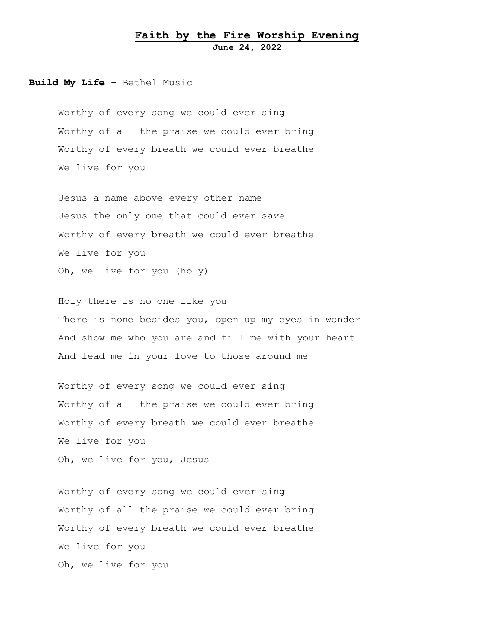# **Faith by the Fire Worship Evening June 24, 2022**

**Build My Life** – Bethel Music

Worthy of every song we could ever sing Worthy of all the praise we could ever bring Worthy of every breath we could ever breathe We live for you

Jesus a name above every other name Jesus the only one that could ever save Worthy of every breath we could ever breathe We live for you Oh, we live for you (holy)

Holy there is no one like you There is none besides you, open up my eyes in wonder And show me who you are and fill me with your heart And lead me in your love to those around me

Worthy of every song we could ever sing Worthy of all the praise we could ever bring Worthy of every breath we could ever breathe We live for you Oh, we live for you, Jesus

Worthy of every song we could ever sing Worthy of all the praise we could ever bring Worthy of every breath we could ever breathe We live for you Oh, we live for you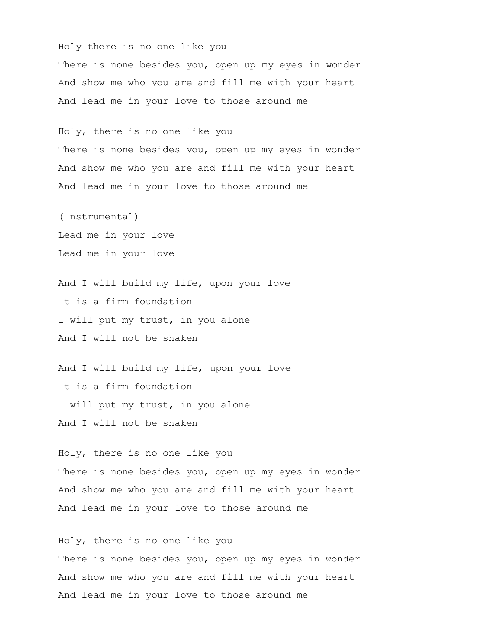Holy there is no one like you There is none besides you, open up my eyes in wonder And show me who you are and fill me with your heart And lead me in your love to those around me

Holy, there is no one like you There is none besides you, open up my eyes in wonder And show me who you are and fill me with your heart And lead me in your love to those around me

(Instrumental)

Lead me in your love Lead me in your love

And I will build my life, upon your love It is a firm foundation I will put my trust, in you alone And I will not be shaken

And I will build my life, upon your love It is a firm foundation I will put my trust, in you alone And I will not be shaken

Holy, there is no one like you There is none besides you, open up my eyes in wonder And show me who you are and fill me with your heart And lead me in your love to those around me

Holy, there is no one like you There is none besides you, open up my eyes in wonder And show me who you are and fill me with your heart And lead me in your love to those around me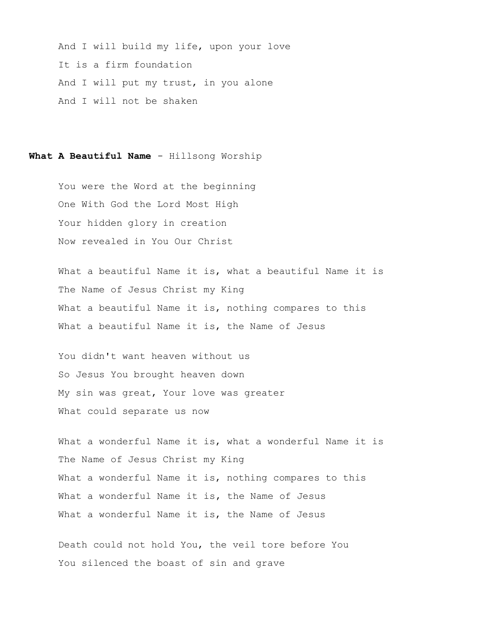And I will build my life, upon your love It is a firm foundation And I will put my trust, in you alone And I will not be shaken

## What A Beautiful Name - Hillsong Worship

You were the Word at the beginning One With God the Lord Most High Your hidden glory in creation Now revealed in You Our Christ

What a beautiful Name it is, what a beautiful Name it is The Name of Jesus Christ my King What a beautiful Name it is, nothing compares to this What a beautiful Name it is, the Name of Jesus

You didn't want heaven without us So Jesus You brought heaven down My sin was great, Your love was greater What could separate us now

What a wonderful Name it is, what a wonderful Name it is The Name of Jesus Christ my King What a wonderful Name it is, nothing compares to this What a wonderful Name it is, the Name of Jesus What a wonderful Name it is, the Name of Jesus

Death could not hold You, the veil tore before You You silenced the boast of sin and grave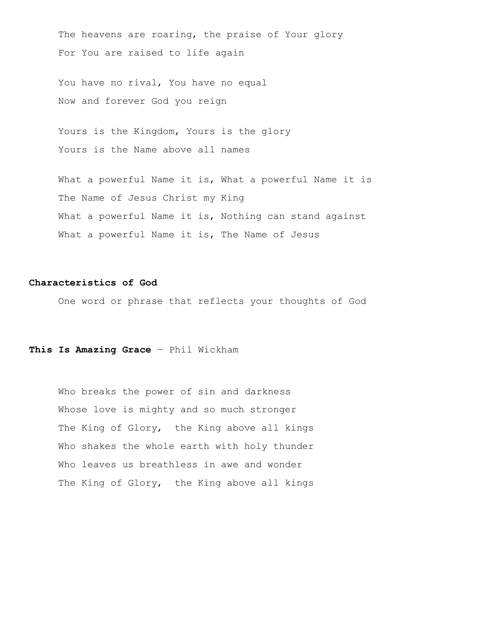The heavens are roaring, the praise of Your glory For You are raised to life again

You have no rival, You have no equal Now and forever God you reign

Yours is the Kingdom, Yours is the glory Yours is the Name above all names

What a powerful Name it is, What a powerful Name it is The Name of Jesus Christ my King What a powerful Name it is, Nothing can stand against What a powerful Name it is, The Name of Jesus

#### **Characteristics of God**

One word or phrase that reflects your thoughts of God

#### **This Is Amazing Grace** – Phil Wickham

Who breaks the power of sin and darkness Whose love is mighty and so much stronger The King of Glory, the King above all kings Who shakes the whole earth with holy thunder Who leaves us breathless in awe and wonder The King of Glory, the King above all kings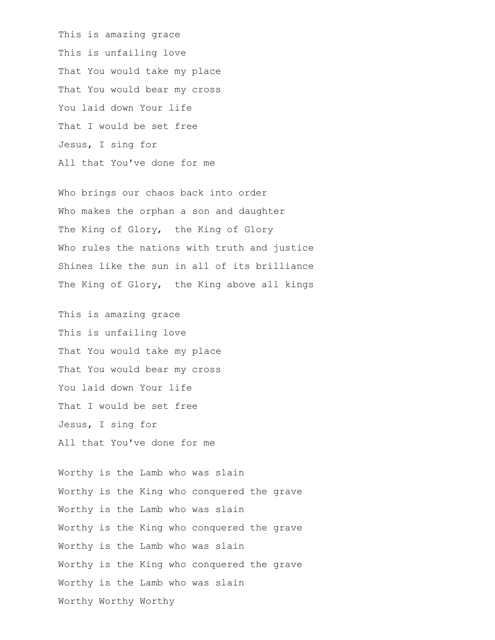This is amazing grace This is unfailing love That You would take my place That You would bear my cross You laid down Your life That I would be set free Jesus, I sing for All that You've done for me

Who brings our chaos back into order Who makes the orphan a son and daughter The King of Glory, the King of Glory Who rules the nations with truth and justice Shines like the sun in all of its brilliance The King of Glory, the King above all kings

This is amazing grace This is unfailing love That You would take my place That You would bear my cross You laid down Your life That I would be set free Jesus, I sing for All that You've done for me

Worthy is the Lamb who was slain Worthy is the King who conquered the grave Worthy is the Lamb who was slain Worthy is the King who conquered the grave Worthy is the Lamb who was slain Worthy is the King who conquered the grave Worthy is the Lamb who was slain Worthy Worthy Worthy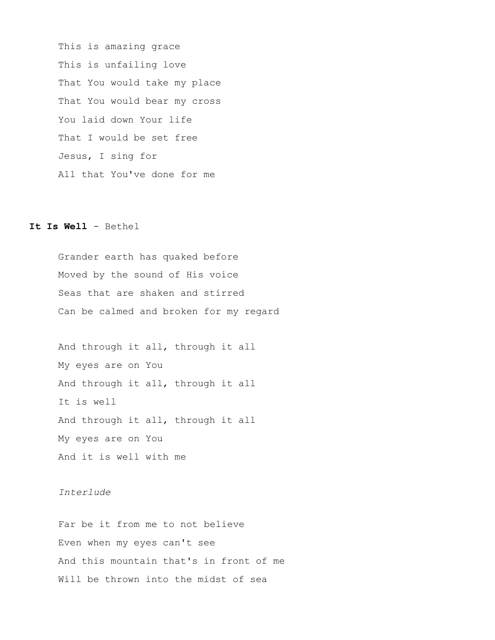This is amazing grace This is unfailing love That You would take my place That You would bear my cross You laid down Your life That I would be set free Jesus, I sing for All that You've done for me

## **It Is Well** - Bethel

Grander earth has quaked before Moved by the sound of His voice Seas that are shaken and stirred Can be calmed and broken for my regard

And through it all, through it all My eyes are on You And through it all, through it all It is well And through it all, through it all My eyes are on You And it is well with me

## *Interlude*

Far be it from me to not believe Even when my eyes can't see And this mountain that's in front of me Will be thrown into the midst of sea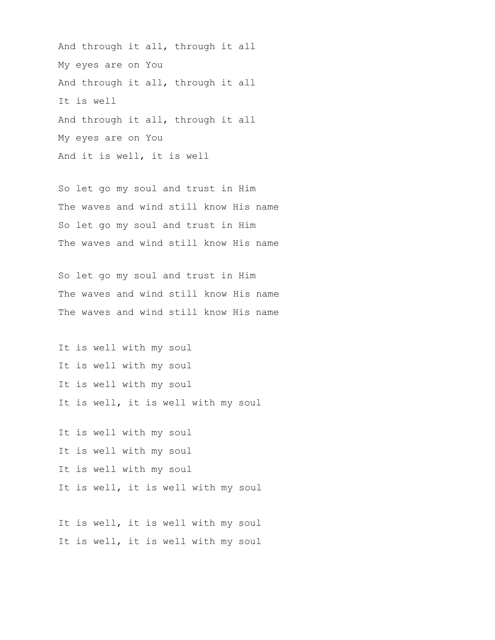And through it all, through it all My eyes are on You And through it all, through it all It is well And through it all, through it all My eyes are on You And it is well, it is well

So let go my soul and trust in Him The waves and wind still know His name So let go my soul and trust in Him The waves and wind still know His name

So let go my soul and trust in Him The waves and wind still know His name The waves and wind still know His name

It is well with my soul It is well with my soul It is well with my soul It is well, it is well with my soul

It is well with my soul It is well with my soul It is well with my soul It is well, it is well with my soul

It is well, it is well with my soul It is well, it is well with my soul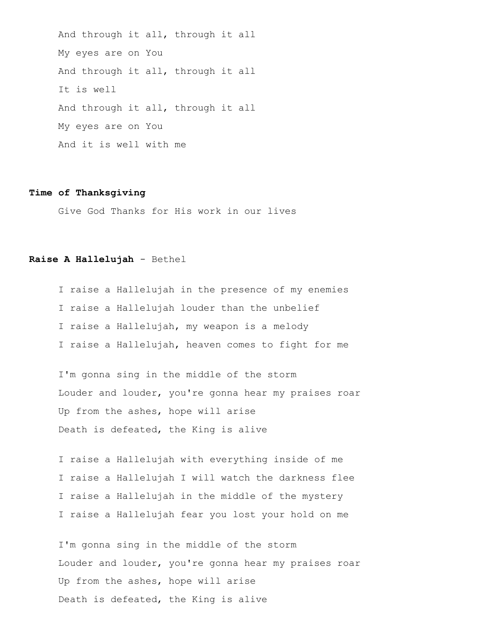And through it all, through it all My eyes are on You And through it all, through it all It is well And through it all, through it all My eyes are on You And it is well with me

# **Time of Thanksgiving**

Give God Thanks for His work in our lives

## **Raise A Hallelujah** - Bethel

I raise a Hallelujah in the presence of my enemies I raise a Hallelujah louder than the unbelief I raise a Hallelujah, my weapon is a melody I raise a Hallelujah, heaven comes to fight for me

I'm gonna sing in the middle of the storm Louder and louder, you're gonna hear my praises roar Up from the ashes, hope will arise Death is defeated, the King is alive

I raise a Hallelujah with everything inside of me I raise a Hallelujah I will watch the darkness flee I raise a Hallelujah in the middle of the mystery I raise a Hallelujah fear you lost your hold on me

I'm gonna sing in the middle of the storm Louder and louder, you're gonna hear my praises roar Up from the ashes, hope will arise Death is defeated, the King is alive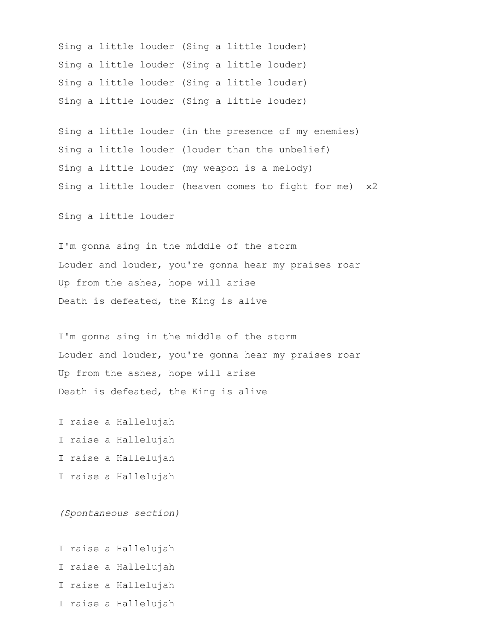Sing a little louder (Sing a little louder) Sing a little louder (Sing a little louder) Sing a little louder (Sing a little louder) Sing a little louder (Sing a little louder)

Sing a little louder (in the presence of my enemies) Sing a little louder (louder than the unbelief) Sing a little louder (my weapon is a melody) Sing a little louder (heaven comes to fight for me) x2

Sing a little louder

I'm gonna sing in the middle of the storm Louder and louder, you're gonna hear my praises roar Up from the ashes, hope will arise Death is defeated, the King is alive

I'm gonna sing in the middle of the storm Louder and louder, you're gonna hear my praises roar Up from the ashes, hope will arise Death is defeated, the King is alive

I raise a Hallelujah I raise a Hallelujah I raise a Hallelujah I raise a Hallelujah

*(Spontaneous section)*

I raise a Hallelujah I raise a Hallelujah I raise a Hallelujah I raise a Hallelujah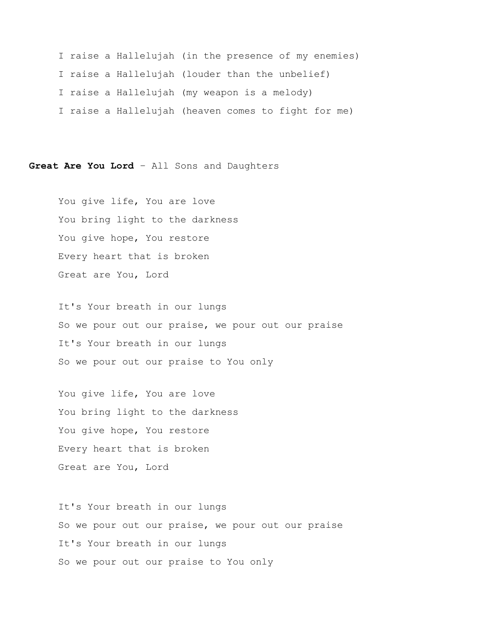I raise a Hallelujah (in the presence of my enemies) I raise a Hallelujah (louder than the unbelief) I raise a Hallelujah (my weapon is a melody) I raise a Hallelujah (heaven comes to fight for me)

**Great Are You Lord** – All Sons and Daughters

You give life, You are love You bring light to the darkness You give hope, You restore Every heart that is broken Great are You, Lord

It's Your breath in our lungs So we pour out our praise, we pour out our praise It's Your breath in our lungs So we pour out our praise to You only

You give life, You are love You bring light to the darkness You give hope, You restore Every heart that is broken Great are You, Lord

It's Your breath in our lungs So we pour out our praise, we pour out our praise It's Your breath in our lungs So we pour out our praise to You only